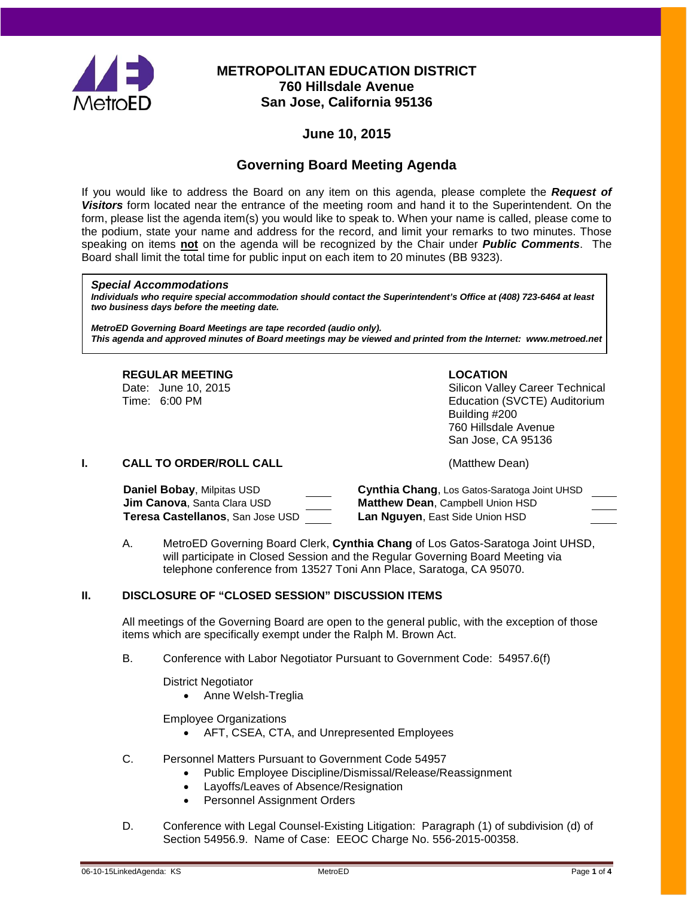

# **METROPOLITAN EDUCATION DISTRICT 760 Hillsdale Avenue San Jose, California 95136**

# **June 10, 2015**

# **Governing Board Meeting Agenda**

If you would like to address the Board on any item on this agenda, please complete the *Request of Visitors* form located near the entrance of the meeting room and hand it to the Superintendent. On the form, please list the agenda item(s) you would like to speak to. When your name is called, please come to the podium, state your name and address for the record, and limit your remarks to two minutes. Those speaking on items **not** on the agenda will be recognized by the Chair under *Public Comments*. The Board shall limit the total time for public input on each item to 20 minutes (BB 9323).

#### *Special Accommodations*

*Individuals who require special accommodation should contact the Superintendent's Office at (408) 723-6464 at least two business days before the meeting date.*

*MetroED Governing Board Meetings are tape recorded (audio only). This agenda and approved minutes of Board meetings may be viewed and printed from the Internet: www.metroed.net*

# **REGULAR MEETING LOCATION**<br>
Date: June 10, 2015 **COLORIST CONTRACTION**

Date: June 10, 2015 <br>
Time: 6:00 PM<br>
Silicon Valley Career Technical<br>
Education (SVCTE) Auditorium Education (SVCTE) Auditorium Building #200 760 Hillsdale Avenue San Jose, CA 95136

**DRAFT #13**

### **I. CALL TO ORDER/ROLL CALL CALL CALL** (Matthew Dean)

| Daniel Bobay, Milpitas USD            | Cynthia Chang, Los Gatos-Saratoga Joint UHSD |
|---------------------------------------|----------------------------------------------|
| <b>Jim Canova</b> , Santa Clara USD . | <b>Matthew Dean, Campbell Union HSD</b>      |
| Teresa Castellanos, San Jose USD      | Lan Nguyen, East Side Union HSD              |

A. MetroED Governing Board Clerk, **Cynthia Chang** of Los Gatos-Saratoga Joint UHSD, will participate in Closed Session and the Regular Governing Board Meeting via telephone conference from 13527 Toni Ann Place, Saratoga, CA 95070.

### **II. DISCLOSURE OF "CLOSED SESSION" DISCUSSION ITEMS**

All meetings of the Governing Board are open to the general public, with the exception of those items which are specifically exempt under the Ralph M. Brown Act.

B. Conference with Labor Negotiator Pursuant to Government Code: 54957.6(f)

District Negotiator

• Anne Welsh-Treglia

Employee Organizations

- AFT, CSEA, CTA, and Unrepresented Employees
- C. Personnel Matters Pursuant to Government Code 54957
	- Public Employee Discipline/Dismissal/Release/Reassignment
	- Layoffs/Leaves of Absence/Resignation
	- Personnel Assignment Orders
- D. Conference with Legal Counsel-Existing Litigation: Paragraph (1) of subdivision (d) of Section 54956.9. Name of Case: EEOC Charge No. 556-2015-00358.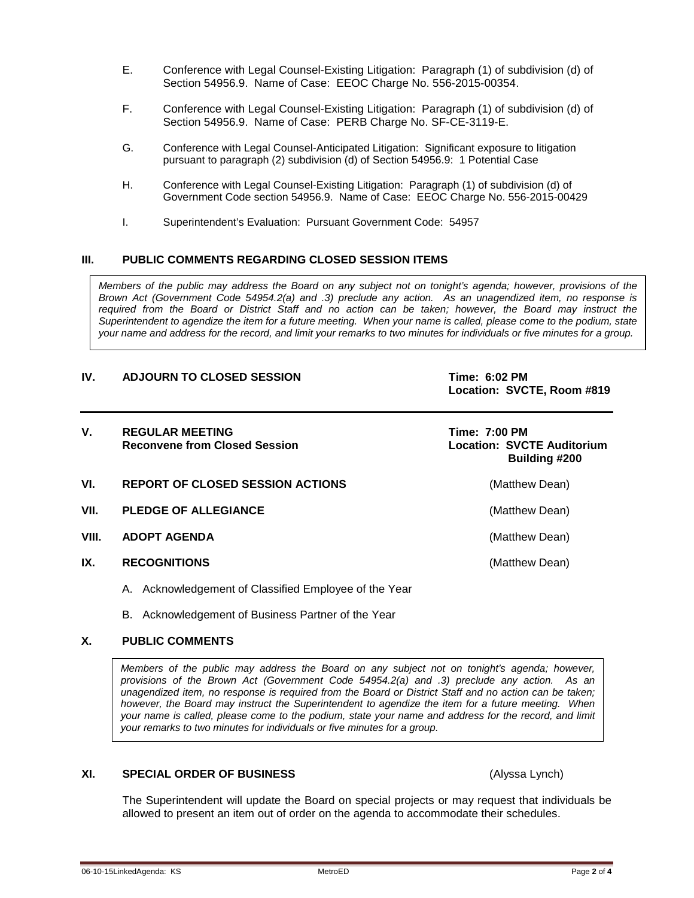- E. Conference with Legal Counsel-Existing Litigation: Paragraph (1) of subdivision (d) of Section 54956.9. Name of Case: EEOC Charge No. 556-2015-00354.
- F. Conference with Legal Counsel-Existing Litigation: Paragraph (1) of subdivision (d) of Section 54956.9. Name of Case: PERB Charge No. SF-CE-3119-E.
- G. Conference with Legal Counsel-Anticipated Litigation: Significant exposure to litigation pursuant to paragraph (2) subdivision (d) of Section 54956.9: 1 Potential Case
- H. Conference with Legal Counsel-Existing Litigation: Paragraph (1) of subdivision (d) of Government Code section 54956.9. Name of Case: EEOC Charge No. 556-2015-00429
- I. Superintendent's Evaluation: Pursuant Government Code: 54957

#### **III. PUBLIC COMMENTS REGARDING CLOSED SESSION ITEMS**

*Members of the public may address the Board on any subject not on tonight's agenda; however, provisions of the Brown Act (Government Code 54954.2(a) and .3) preclude any action. As an unagendized item, no response is required from the Board or District Staff and no action can be taken; however, the Board may instruct the Superintendent to agendize the item for a future meeting. When your name is called, please come to the podium, state your name and address for the record, and limit your remarks to two minutes for individuals or five minutes for a group.*

#### **IV. ADJOURN TO CLOSED SESSION Time: 6:02 PM**

**Location: SVCTE, Room #819**

| V.    | <b>REGULAR MEETING</b><br><b>Reconvene from Closed Session</b> | Time: 7:00 PM<br>Location: SVCTE Auditorium<br>Building #200 |
|-------|----------------------------------------------------------------|--------------------------------------------------------------|
| VI.   | <b>REPORT OF CLOSED SESSION ACTIONS</b>                        | (Matthew Dean)                                               |
| VII.  | <b>PLEDGE OF ALLEGIANCE</b>                                    | (Matthew Dean)                                               |
| VIII. | <b>ADOPT AGENDA</b>                                            | (Matthew Dean)                                               |
| IX.   | <b>RECOGNITIONS</b>                                            | (Matthew Dean)                                               |

- A. Acknowledgement of Classified Employee of the Year
- B. Acknowledgement of Business Partner of the Year

#### **X. PUBLIC COMMENTS**

*Members of the public may address the Board on any subject not on tonight's agenda; however, provisions of the Brown Act (Government Code 54954.2(a) and .3) preclude any action. As an unagendized item, no response is required from the Board or District Staff and no action can be taken; however, the Board may instruct the Superintendent to agendize the item for a future meeting. When your name is called, please come to the podium, state your name and address for the record, and limit your remarks to two minutes for individuals or five minutes for a group.*

#### **XI. SPECIAL ORDER OF BUSINESS** (Alyssa Lynch)

The Superintendent will update the Board on special projects or may request that individuals be allowed to present an item out of order on the agenda to accommodate their schedules.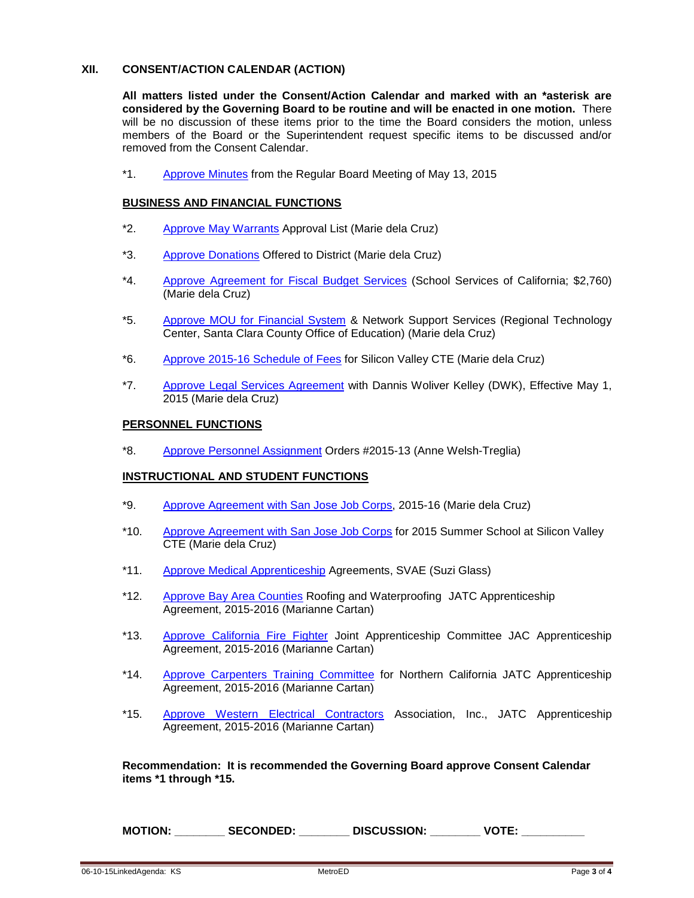#### **XII. CONSENT/ACTION CALENDAR (ACTION)**

**All matters listed under the Consent/Action Calendar and marked with an \*asterisk are considered by the Governing Board to be routine and will be enacted in one motion.** There will be no discussion of these items prior to the time the Board considers the motion, unless members of the Board or the Superintendent request specific items to be discussed and/or removed from the Consent Calendar.

\*1. [Approve](http://fbsd.metroed.net/ksmith/Board_Agenda/06-10-15BoardAgenda/Item1_05-13-15BoardMinutes.pdf) Minutes from the Regular Board Meeting of May 13, 2015

#### **BUSINESS AND FINANCIAL FUNCTIONS**

- \*2. Approve [May Warrants](http://fbsd.metroed.net/malaimo/Board_Agenda/06-10-15BoardAgenda/Item2.pdf) Approval List (Marie dela Cruz)
- \*3. [Approve Donations](http://fbsd.metroed.net/malaimo/Board_Agenda/06-10-15BoardAgenda/Item3.pdf) Offered to District (Marie dela Cruz)
- \*4. [Approve Agreement for Fiscal Budget Services](http://fbsd.metroed.net/malaimo/Board_Agenda/06-10-15BoardAgenda/Item4.pdf) (School Services of California; \$2,760) (Marie dela Cruz)
- \*5. [Approve MOU for Financial System](http://fbsd.metroed.net/malaimo/Board_Agenda/06-10-15BoardAgenda/Item5.pdf) & Network Support Services (Regional Technology Center, Santa Clara County Office of Education) (Marie dela Cruz)
- \*6. [Approve 2015-16 Schedule of Fees](http://fbsd.metroed.net/malaimo/Board_Agenda/06-10-15BoardAgenda/Item6.pdf) for Silicon Valley CTE (Marie dela Cruz)
- \*7. [Approve Legal Services Agreement](http://fbsd.metroed.net/malaimo/Board_Agenda/06-10-15BoardAgenda/Item7.pdf) with Dannis Woliver Kelley (DWK), Effective May 1, 2015 (Marie dela Cruz)

#### **PERSONNEL FUNCTIONS**

\*8. [Approve Personnel Assignment](http://fbsd.metroed.net/malaimo/Board_Agenda/06-10-15BoardAgenda/Item8.pdf) Orders #2015-13 (Anne Welsh-Treglia)

### **INSTRUCTIONAL AND STUDENT FUNCTIONS**

- \*9. [Approve Agreement with San Jose Job Corps,](http://fbsd.metroed.net/malaimo/Board_Agenda/06-10-15BoardAgenda/Item9.pdf) 2015-16 (Marie dela Cruz)
- \*10. [Approve Agreement with San Jose Job Corps](http://fbsd.metroed.net/malaimo/Board_Agenda/06-10-15BoardAgenda/Item10.pdf) for 2015 Summer School at Silicon Valley CTE (Marie dela Cruz)
- \*11. [Approve Medical Apprenticeship](http://fbsd.metroed.net/malaimo/Board_Agenda/06-10-15BoardAgenda/Item11.pdf) Agreements, SVAE (Suzi Glass)
- \*12. [Approve Bay Area Counties](http://fbsd.metroed.net/malaimo/Board_Agenda/06-10-15BoardAgenda/Item12.pdf) Roofing and Waterproofing JATC Apprenticeship Agreement, 2015-2016 (Marianne Cartan)
- \*13. [Approve California Fire Fighter](http://fbsd.metroed.net/malaimo/Board_Agenda/06-10-15BoardAgenda/Item13.pdf) Joint Apprenticeship Committee JAC Apprenticeship Agreement, 2015-2016 (Marianne Cartan)
- \*14. [Approve Carpenters Training Committee](http://fbsd.metroed.net/malaimo/Board_Agenda/06-10-15BoardAgenda/Item14.pdf) for Northern California JATC Apprenticeship Agreement, 2015-2016 (Marianne Cartan)
- \*15. [Approve Western Electrical Contractors](http://fbsd.metroed.net/malaimo/Board_Agenda/06-10-15BoardAgenda/Item15.pdf) Association, Inc., JATC Apprenticeship Agreement, 2015-2016 (Marianne Cartan)

**Recommendation: It is recommended the Governing Board approve Consent Calendar items \*1 through \*15.**

**MOTION: \_\_\_\_\_\_\_\_ SECONDED: \_\_\_\_\_\_\_\_ DISCUSSION: \_\_\_\_\_\_\_\_ VOTE: \_\_\_\_\_\_\_\_\_\_**